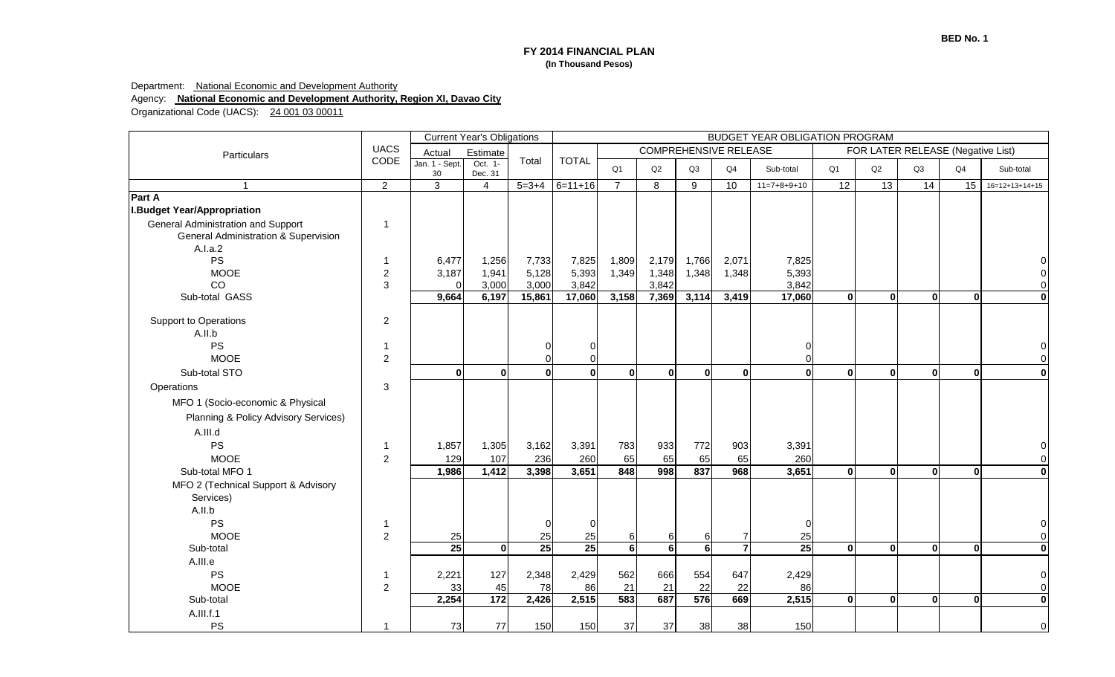|                                      |                |                      | <b>Current Year's Obligations</b> |                 |                 |                         |              |              |                              | <b>BUDGET YEAR OBLIGATION PROGRAM</b> |                |                |              |                                   |                  |
|--------------------------------------|----------------|----------------------|-----------------------------------|-----------------|-----------------|-------------------------|--------------|--------------|------------------------------|---------------------------------------|----------------|----------------|--------------|-----------------------------------|------------------|
| Particulars                          | <b>UACS</b>    | Actual               | Estimate                          |                 |                 |                         |              |              | <b>COMPREHENSIVE RELEASE</b> |                                       |                |                |              | FOR LATER RELEASE (Negative List) |                  |
|                                      | CODE           | Jan. 1 - Sept.<br>30 | Oct. 1-<br>Dec. 31                | Total           | <b>TOTAL</b>    | O <sub>1</sub>          | Q2           | Q3           | Q <sub>4</sub>               | Sub-total                             | Q <sub>1</sub> | Q2             | Q3           | Q <sub>4</sub>                    | Sub-total        |
| $\mathbf{1}$                         | $\overline{2}$ | $\overline{3}$       | $\overline{4}$                    | $5 = 3 + 4$     | $6=11+16$       | $\overline{7}$          | 8            | 9            | 10                           | $11=7+8+9+10$                         | 12             | 13             | 14           | 15                                | $16=12+13+14+15$ |
| <b>Part A</b>                        |                |                      |                                   |                 |                 |                         |              |              |                              |                                       |                |                |              |                                   |                  |
| <b>I.Budget Year/Appropriation</b>   |                |                      |                                   |                 |                 |                         |              |              |                              |                                       |                |                |              |                                   |                  |
| General Administration and Support   | $\mathbf 1$    |                      |                                   |                 |                 |                         |              |              |                              |                                       |                |                |              |                                   |                  |
| General Administration & Supervision |                |                      |                                   |                 |                 |                         |              |              |                              |                                       |                |                |              |                                   |                  |
| A.I.a.2                              |                |                      |                                   |                 |                 |                         |              |              |                              |                                       |                |                |              |                                   |                  |
| <b>PS</b>                            |                | 6,477                | 1,256                             | 7,733           | 7,825           | 1,809                   | 2,179        | 1,766        | 2,071                        | 7,825                                 |                |                |              |                                   |                  |
| <b>MOOE</b>                          | $\overline{c}$ | 3,187                | 1,941                             | 5,128           | 5,393           | 1,349                   | 1,348        | 1,348        | 1,348                        | 5,393                                 |                |                |              |                                   |                  |
| CO<br>Sub-total GASS                 | 3              | ∩                    | 3,000                             | 3,000           | 3,842           |                         | 3,842        |              |                              | 3,842                                 | 0l             | $\overline{0}$ | $\mathbf{0}$ | $\overline{0}$                    | $\overline{0}$   |
|                                      |                | 9,664                | 6,197                             | 15,861          | 17,060          | 3,158                   | 7,369        | 3,114        | 3,419                        | 17,060                                |                |                |              |                                   |                  |
| <b>Support to Operations</b>         | $\overline{2}$ |                      |                                   |                 |                 |                         |              |              |                              |                                       |                |                |              |                                   |                  |
| A.II.b                               |                |                      |                                   |                 |                 |                         |              |              |                              |                                       |                |                |              |                                   |                  |
| PS                                   | -1             |                      |                                   | O               |                 |                         |              |              |                              | $\overline{0}$                        |                |                |              |                                   |                  |
| <b>MOOE</b>                          | $\overline{2}$ |                      |                                   | $\Omega$        |                 |                         |              |              |                              |                                       |                |                |              |                                   |                  |
| Sub-total STO                        |                | $\mathbf{0}$         | 0                                 | $\mathbf{0}$    | $\Omega$        | 0l                      | $\mathbf{0}$ | $\mathbf{0}$ | <sub>0</sub>                 | $\mathbf{0}$                          | ΩI             | 0l             | $\mathbf{0}$ | $\mathbf{0}$                      | $\mathbf 0$      |
| Operations                           | 3              |                      |                                   |                 |                 |                         |              |              |                              |                                       |                |                |              |                                   |                  |
| MFO 1 (Socio-economic & Physical     |                |                      |                                   |                 |                 |                         |              |              |                              |                                       |                |                |              |                                   |                  |
| Planning & Policy Advisory Services) |                |                      |                                   |                 |                 |                         |              |              |                              |                                       |                |                |              |                                   |                  |
| A.III.d                              |                |                      |                                   |                 |                 |                         |              |              |                              |                                       |                |                |              |                                   |                  |
| PS                                   | -1             | 1,857                | 1,305                             | 3,162           | 3,391           | 783                     | 933          | 772          | 903                          | 3,391                                 |                |                |              |                                   |                  |
| <b>MOOE</b>                          | $\overline{2}$ | 129                  | 107                               | 236             | 260             | 65                      | 65           | 65           | 65                           | 260                                   |                |                |              |                                   |                  |
| Sub-total MFO 1                      |                | 1,986                | 1,412                             | 3,398           | 3,651           | 848                     | 998          | 837          | 968                          | 3,651                                 | ΩI             | 0l             | $\Omega$     | 0l                                | O                |
| MFO 2 (Technical Support & Advisory  |                |                      |                                   |                 |                 |                         |              |              |                              |                                       |                |                |              |                                   |                  |
| Services)                            |                |                      |                                   |                 |                 |                         |              |              |                              |                                       |                |                |              |                                   |                  |
| A.II.b                               |                |                      |                                   |                 |                 |                         |              |              |                              |                                       |                |                |              |                                   |                  |
| <b>PS</b>                            | -1             |                      |                                   | ∩               |                 |                         |              |              |                              | $\Omega$                              |                |                |              |                                   |                  |
| <b>MOOE</b>                          | 2              | 25                   |                                   | 25              | 25              | 6                       | 6            | 6            | 7                            | 25                                    |                |                |              |                                   |                  |
| Sub-total                            |                | 25                   | $\overline{0}$                    | $\overline{25}$ | $\overline{25}$ | $\overline{\mathbf{6}}$ | 6            | $6 \mid$     | 71                           | 25                                    | 0l             | 0l             | $\mathbf{0}$ | $\mathbf{0}$                      | $\mathbf 0$      |
| A.III.e                              |                |                      |                                   |                 |                 |                         |              |              |                              |                                       |                |                |              |                                   |                  |
| PS                                   |                | 2,221                | 127                               | 2,348           | 2,429           | 562                     | 666          | 554          | 647                          | 2,429                                 |                |                |              |                                   |                  |
| <b>MOOE</b>                          | $\overline{c}$ | 33                   | 45                                | 78              | 86              | 21                      | 21           | 22           | 22                           | 86                                    |                |                |              |                                   |                  |
| Sub-total                            |                | 2,254                | 172                               | 2,426           | 2,515           | 583                     | 687          | 576          | 669                          | 2,515                                 | 0l             | 0l             | $\Omega$     | 0l                                | $\mathbf 0$      |
| A.III.f.1                            |                |                      |                                   |                 |                 |                         |              |              |                              |                                       |                |                |              |                                   |                  |
| PS                                   |                | 73                   | 77                                | 150             | 150             | 37                      | 37           | 38           | 38                           | 150                                   |                |                |              |                                   |                  |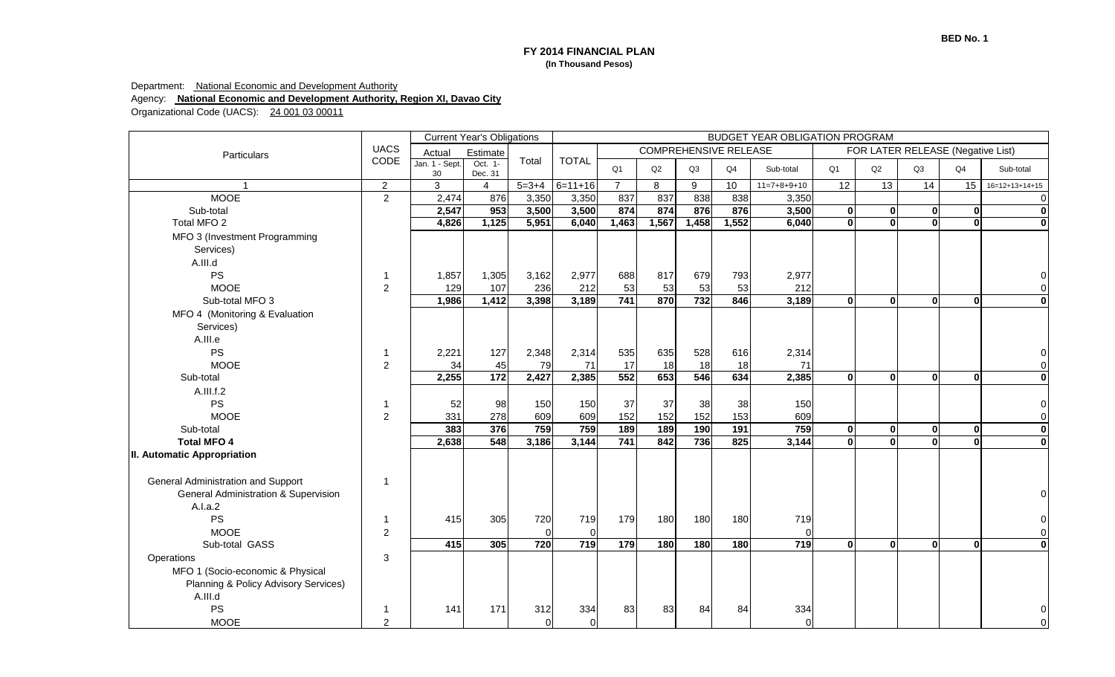|                                      |                |                      | <b>Current Year's Obligations</b> |                |                   |                |                              |       |                | <b>BUDGET YEAR OBLIGATION PROGRAM</b> |                         |                                   |                 |                |                         |
|--------------------------------------|----------------|----------------------|-----------------------------------|----------------|-------------------|----------------|------------------------------|-------|----------------|---------------------------------------|-------------------------|-----------------------------------|-----------------|----------------|-------------------------|
| Particulars                          | <b>UACS</b>    | Actual               | Estimate                          |                |                   |                | <b>COMPREHENSIVE RELEASE</b> |       |                |                                       |                         | FOR LATER RELEASE (Negative List) |                 |                |                         |
|                                      | CODE           | Jan. 1 - Sept.<br>30 | Oct. 1-<br>Dec. 31                | Total          | <b>TOTAL</b>      | O <sub>1</sub> | Q2                           | Q3    | Q <sub>4</sub> | Sub-total                             | Q <sub>1</sub>          | Q2                                | Q3              | Q <sub>4</sub> | Sub-total               |
|                                      | $\overline{2}$ | $\overline{3}$       | $\overline{4}$                    |                | $5=3+4$ $6=11+16$ | $\overline{7}$ | 8                            | 9     | 10             | $11=7+8+9+10$                         | 12                      | $\overline{13}$                   | $\overline{14}$ | 15             | $16=12+13+14+15$        |
| <b>MOOE</b>                          | 2              | 2,474                | 876                               | 3,350          | 3,350             | 837            | 837                          | 838   | 838            | 3,350                                 |                         |                                   |                 |                | $\overline{0}$          |
| Sub-total                            |                | 2,547                | 953                               | 3,500          | 3,500             | 874            | 874                          | 876   | 876            | 3,500                                 | $\mathbf 0$             | $\mathbf{0}$                      | $\mathbf{0}$    | 0              | $\mathbf{0}$            |
| Total MFO 2                          |                | 4,826                | 1,125                             | 5,951          | 6,040             | 1,463          | 1,567                        | 1,458 | 1,552          | 6,040                                 | $\overline{\mathbf{0}}$ | $\overline{0}$                    | Э               | $\overline{0}$ | $\overline{0}$          |
| MFO 3 (Investment Programming        |                |                      |                                   |                |                   |                |                              |       |                |                                       |                         |                                   |                 |                |                         |
| Services)                            |                |                      |                                   |                |                   |                |                              |       |                |                                       |                         |                                   |                 |                |                         |
| A.III.d                              |                |                      |                                   |                |                   |                |                              |       |                |                                       |                         |                                   |                 |                |                         |
| <b>PS</b>                            | -1             | 1,857                | 1,305                             | 3,162          | 2,977             | 688            | 817                          | 679   | 793            | 2,977                                 |                         |                                   |                 |                | 0                       |
| <b>MOOE</b>                          | 2              | 129                  | 107                               | 236            | 212               | 53             | 53                           | 53    | 53             | 212                                   |                         |                                   |                 |                | $\overline{0}$          |
| Sub-total MFO 3                      |                | 1,986                | 1,412                             | 3,398          | 3,189             | 741            | 870                          | 732   | 846            | 3,189                                 | $\mathbf{0}$            | 0                                 | 0l              | ΩI             | $\mathbf{0}$            |
| MFO 4 (Monitoring & Evaluation       |                |                      |                                   |                |                   |                |                              |       |                |                                       |                         |                                   |                 |                |                         |
| Services)                            |                |                      |                                   |                |                   |                |                              |       |                |                                       |                         |                                   |                 |                |                         |
| A.III.e                              |                |                      |                                   |                |                   |                |                              |       |                |                                       |                         |                                   |                 |                |                         |
| <b>PS</b>                            |                | 2,221                | 127                               | 2,348          | 2,314             | 535            | 635                          | 528   | 616            | 2,314                                 |                         |                                   |                 |                |                         |
| <b>MOOE</b>                          | $\overline{2}$ | 34                   | 45                                | 79             | 71                | 17             | 18                           | 18    | 18             | 71                                    |                         |                                   |                 |                | $\overline{0}$          |
| Sub-total                            |                | 2,255                | $\boxed{172}$                     | 2,427          | 2,385             | 552            | 653                          | 546   | 634            | 2,385                                 | $\mathbf{0}$            | $\mathbf{0}$                      | 0l              | 0l             | $\mathbf{0}$            |
| A.III.f.2                            |                |                      |                                   |                |                   |                |                              |       |                |                                       |                         |                                   |                 |                |                         |
| <b>PS</b>                            |                | 52                   | 98                                | 150            | 150               | 37             | 37                           | 38    | 38             | 150                                   |                         |                                   |                 |                | $\overline{0}$          |
| <b>MOOE</b>                          | 2              | 331                  | 278                               | 609            | 609               | 152            | 152                          | 152   | 153            | 609                                   |                         |                                   |                 |                | $\overline{0}$          |
| Sub-total                            |                | 383                  | 376                               | 759            | 759               | 189            | 189                          | 190   | 191            | 759                                   | $\overline{\bullet}$    | $\mathbf{0}$                      | 0               | 0l             | $\overline{\mathbf{0}}$ |
| <b>Total MFO 4</b>                   |                | 2,638                | 548                               | 3,186          | 3,144             | 741            | 842                          | 736   | 825            | 3,144                                 | $\mathbf{0}$            | 0                                 | $\Omega$        | Ωl             | $\mathbf{0}$            |
| II. Automatic Appropriation          |                |                      |                                   |                |                   |                |                              |       |                |                                       |                         |                                   |                 |                |                         |
| General Administration and Support   | -1             |                      |                                   |                |                   |                |                              |       |                |                                       |                         |                                   |                 |                |                         |
| General Administration & Supervision |                |                      |                                   |                |                   |                |                              |       |                |                                       |                         |                                   |                 |                |                         |
| A.I.a.2                              |                |                      |                                   |                |                   |                |                              |       |                |                                       |                         |                                   |                 |                |                         |
| <b>PS</b>                            |                | 415                  | 305                               | 720            | 719               | 179            | 180                          | 180   | 180            | 719                                   |                         |                                   |                 |                |                         |
| <b>MOOE</b>                          | $\overline{2}$ |                      |                                   | $\Omega$       | $\Omega$          |                |                              |       |                | $\Omega$                              |                         |                                   |                 |                | $\overline{0}$          |
| Sub-total GASS                       |                | 415                  | 305                               | 720            | 719               | 179            | 180                          | 180   | 180            | 719                                   | $\mathbf{0}$            | 0                                 | 0l              | 0l             | 0                       |
| Operations                           | 3              |                      |                                   |                |                   |                |                              |       |                |                                       |                         |                                   |                 |                |                         |
| MFO 1 (Socio-economic & Physical     |                |                      |                                   |                |                   |                |                              |       |                |                                       |                         |                                   |                 |                |                         |
| Planning & Policy Advisory Services) |                |                      |                                   |                |                   |                |                              |       |                |                                       |                         |                                   |                 |                |                         |
| A.III.d                              |                |                      |                                   |                |                   |                |                              |       |                |                                       |                         |                                   |                 |                |                         |
| <b>PS</b>                            |                | 141                  | 171                               | 312            | 334               | 83             | 83                           | 84    | 84             | 334                                   |                         |                                   |                 |                |                         |
| <b>MOOE</b>                          | 2              |                      |                                   | $\overline{0}$ | $\Omega$          |                |                              |       |                | $\Omega$                              |                         |                                   |                 |                |                         |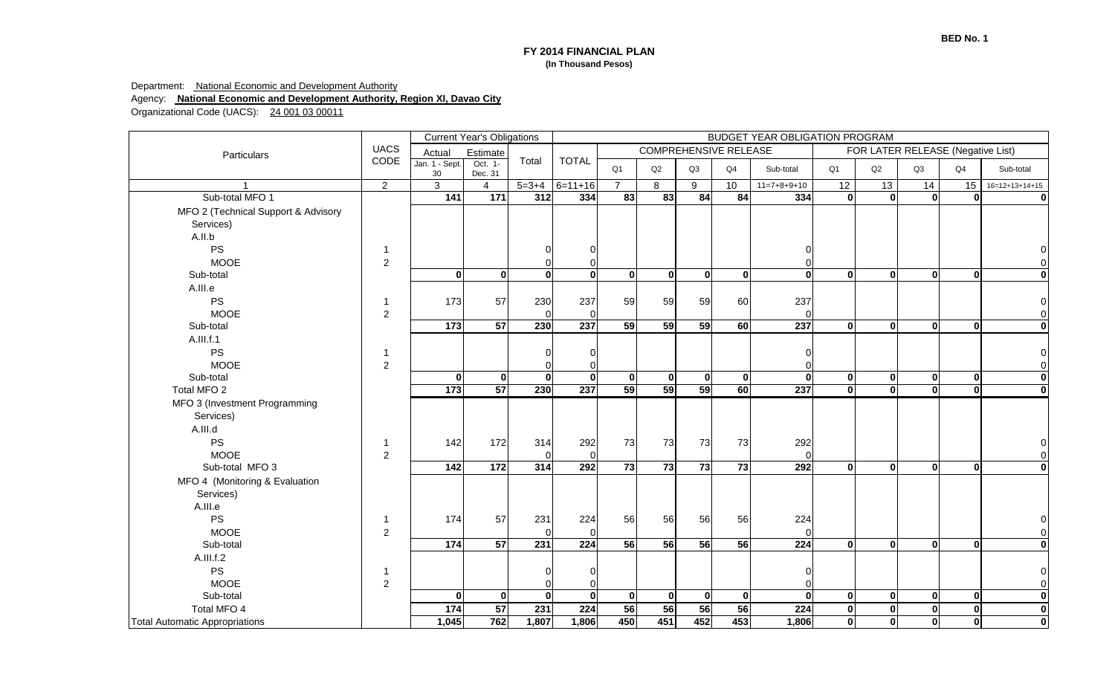|                                       |                |                      | <b>Current Year's Obligations</b> |                         |              |                |                              |     |              | <b>BUDGET YEAR OBLIGATION PROGRAM</b> |                         |              |                                   |                |                         |
|---------------------------------------|----------------|----------------------|-----------------------------------|-------------------------|--------------|----------------|------------------------------|-----|--------------|---------------------------------------|-------------------------|--------------|-----------------------------------|----------------|-------------------------|
| Particulars                           | <b>UACS</b>    | Actual               | Estimate                          |                         |              |                | <b>COMPREHENSIVE RELEASE</b> |     |              |                                       |                         |              | FOR LATER RELEASE (Negative List) |                |                         |
|                                       | CODE           | Jan. 1 - Sept.<br>30 | Oct. 1-<br>Dec. 31                | Total                   | <b>TOTAL</b> | Q <sub>1</sub> | Q2                           | Q3  | Q4           | Sub-total                             | Q <sub>1</sub>          | Q2           | Q3                                | Q <sub>4</sub> | Sub-total               |
|                                       | $\overline{2}$ | 3                    | $\overline{4}$                    | $5=3+4$                 | $6=11+16$    | $\overline{7}$ | 8                            | 9   | 10           | $11=7+8+9+10$                         | 12                      | 13           | 14                                | 15             | $16=12+13+14+15$        |
| Sub-total MFO 1                       |                | $\overline{141}$     | $171$                             | 312                     | 334          | 83             | 83                           | 84  | 84           | 334                                   | $\mathbf{0}$            | 0l           | ΩI                                | 0l             | $\mathbf{0}$            |
| MFO 2 (Technical Support & Advisory   |                |                      |                                   |                         |              |                |                              |     |              |                                       |                         |              |                                   |                |                         |
| Services)                             |                |                      |                                   |                         |              |                |                              |     |              |                                       |                         |              |                                   |                |                         |
| A.II.b                                |                |                      |                                   |                         |              |                |                              |     |              |                                       |                         |              |                                   |                |                         |
| <b>PS</b>                             | -1             |                      |                                   |                         |              |                |                              |     |              |                                       |                         |              |                                   |                | $\overline{O}$          |
| <b>MOOE</b>                           | $\overline{c}$ |                      |                                   |                         |              |                |                              |     |              |                                       |                         |              |                                   |                | $\overline{0}$          |
| Sub-total                             |                | $\mathbf{0}$         | 0l                                | $\mathbf{0}$            | 0l           | 0l             | $\mathbf{0}$                 | 0   | 0            | 0                                     | <sup>0</sup>            | 0            | 0l                                | ΩI             | $\overline{\mathbf{0}}$ |
| A.III.e                               |                |                      |                                   |                         |              |                |                              |     |              |                                       |                         |              |                                   |                |                         |
| <b>PS</b>                             | -1             | 173                  | 57                                | 230                     | 237          | 59             | 59                           | 59  | 60           | 237                                   |                         |              |                                   |                | $\overline{0}$          |
| <b>MOOE</b>                           | $\overline{c}$ |                      |                                   | $\Omega$                | $\Omega$     |                |                              |     |              | $\Omega$                              |                         |              |                                   |                | $\overline{0}$          |
| Sub-total                             |                | $\frac{1}{173}$      | 57                                | 230                     | 237          | 59             | 59                           | 59  | 60           | 237                                   | <sup>0</sup>            | 0            | 0l                                | 0l             | $\overline{\mathbf{0}}$ |
| A.III.f.1                             |                |                      |                                   |                         |              |                |                              |     |              |                                       |                         |              |                                   |                |                         |
| <b>PS</b>                             |                |                      |                                   |                         |              |                |                              |     |              |                                       |                         |              |                                   |                | $\overline{0}$          |
| <b>MOOE</b>                           | $\overline{2}$ |                      |                                   | $\Omega$                |              |                |                              |     |              |                                       |                         |              |                                   |                | $\overline{0}$          |
| Sub-total                             |                | $\mathbf{0}$         | 0                                 | $\overline{\mathbf{0}}$ | - Ol         | 0              | 0                            | 0   | $\mathbf{0}$ | 0l                                    | 0                       | 0            | 0                                 | 0l             | $\overline{\mathbf{0}}$ |
| Total MFO 2                           |                | 173                  | 57                                | 230                     | 237          | 59             | 59                           | 59  | 60           | 237                                   | 0                       | $\mathbf{0}$ | 0                                 | 0l             | $\overline{\mathbf{0}}$ |
| MFO 3 (Investment Programming         |                |                      |                                   |                         |              |                |                              |     |              |                                       |                         |              |                                   |                |                         |
| Services)                             |                |                      |                                   |                         |              |                |                              |     |              |                                       |                         |              |                                   |                |                         |
| A.III.d                               |                |                      |                                   |                         |              |                |                              |     |              |                                       |                         |              |                                   |                |                         |
| PS                                    | -1             | 142                  | 172                               | 314                     | 292          | 73             | 73                           | 73  | 73           | 292                                   |                         |              |                                   |                | $\overline{0}$          |
| <b>MOOE</b>                           | $\overline{2}$ |                      |                                   | $\Omega$                |              |                |                              |     |              |                                       |                         |              |                                   |                | $\overline{0}$          |
| Sub-total MFO 3                       |                | $142$                | $\boxed{172}$                     | 314                     | 292          | 73             | 73                           | 73  | 73           | 292                                   | $\mathbf{0}$            | 0            | 0l                                | 0l             | $\overline{\mathbf{0}}$ |
| MFO 4 (Monitoring & Evaluation        |                |                      |                                   |                         |              |                |                              |     |              |                                       |                         |              |                                   |                |                         |
| Services)                             |                |                      |                                   |                         |              |                |                              |     |              |                                       |                         |              |                                   |                |                         |
| A.III.e                               |                |                      |                                   |                         |              |                |                              |     |              |                                       |                         |              |                                   |                |                         |
| <b>PS</b>                             |                | 174                  | 57                                | 231                     | 224          | 56             | 56                           | 56  | 56           | 224                                   |                         |              |                                   |                | $\overline{0}$          |
| <b>MOOE</b>                           | $\overline{2}$ |                      |                                   | $\Omega$                | $\Omega$     |                |                              |     |              | $\Omega$                              |                         |              |                                   |                | $\overline{0}$          |
| Sub-total                             |                | 174                  | 57                                | 231                     | 224          | 56             | 56                           | 56  | 56           | 224                                   | $\mathbf{0}$            | 0            | 0                                 | $\mathbf{0}$   | $\overline{\mathbf{0}}$ |
| A.III.f.2                             |                |                      |                                   |                         |              |                |                              |     |              |                                       |                         |              |                                   |                |                         |
| PS                                    |                |                      |                                   |                         |              |                |                              |     |              |                                       |                         |              |                                   |                | $\overline{0}$          |
| <b>MOOE</b>                           | $\overline{2}$ |                      |                                   |                         |              |                |                              |     |              |                                       |                         |              |                                   |                | $\overline{0}$          |
| Sub-total                             |                | $\Omega$             | - Ol                              | $\mathbf{0}$            | 0l           | 0l             | $\mathbf{0}$                 | 0   | $\mathbf{0}$ | 0l                                    | $\mathbf{0}$            | 0l           | 0l                                | $\mathbf{0}$   | $\overline{\mathbf{0}}$ |
| Total MFO 4                           |                | 174                  | 57                                | 231                     | 224          | 56             | 56                           | 56  | 56           | 224                                   | $\overline{\mathbf{o}}$ | $\mathbf{0}$ | $\mathbf{0}$                      | $\mathbf{0}$   | $\overline{\mathbf{0}}$ |
| <b>Total Automatic Appropriations</b> |                | 1,045                | 762                               | 1,807                   | 1,806        | 450            | 451                          | 452 | 453          | 1,806                                 | 0                       | $\mathbf{0}$ | $\mathbf{0}$                      | 0l             | $\mathbf{0}$            |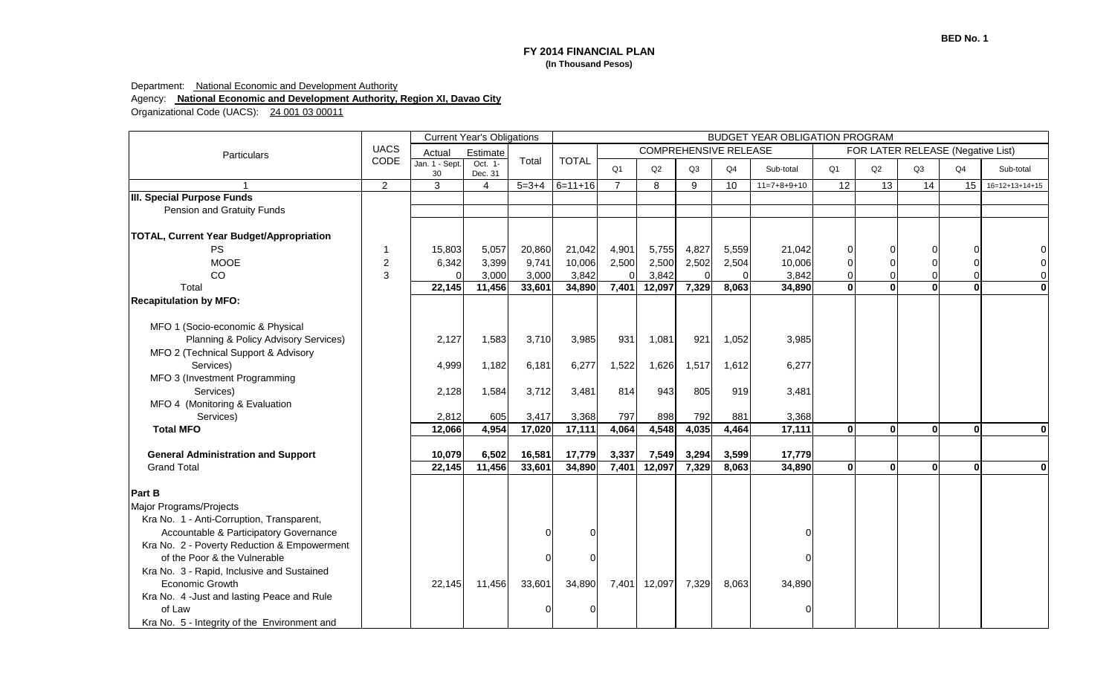| <b>UACS</b><br><b>COMPREHENSIVE RELEASE</b><br>FOR LATER RELEASE (Negative List)<br>Actual<br>Estimate<br>Particulars<br>CODE<br><b>TOTAL</b><br>Total<br>Jan. 1 - Sept.<br>Oct. 1-<br>O <sub>1</sub><br>Q2<br>Q4<br>Q <sub>1</sub><br>Q2<br>Q3<br>Q3<br>Sub-total<br>Q <sub>4</sub><br>Dec. 31<br>30<br>$\overline{2}$<br>3<br>$5 = 3 + 4$<br>$6=11+16$<br>$\overline{4}$<br>$\overline{7}$<br>9<br>12<br>14<br>15<br>8<br>10<br>$11=7+8+9+10$<br>13<br><b>III. Special Purpose Funds</b><br>Pension and Gratuity Funds<br>TOTAL, Current Year Budget/Appropriation<br><b>PS</b><br>15,803<br>5,057<br>20,860<br>21,042<br>4,901<br>5,755<br>4,827<br>5,559<br>21,042<br>$\Omega$<br>1<br>$\Omega$<br><b>MOOE</b><br>$\overline{c}$<br>3,399<br>2,502<br>2,504<br>6,342<br>9,741<br>10,006<br>2,500<br>2,500<br>10,006<br>$\Omega$<br>$\Omega$<br>$\Omega$<br>CO<br>3<br>3,842<br>3,842<br>3,000<br>3,000<br>3,842<br>$\Omega$<br>$\Omega$<br>$\Omega$<br>$\Omega$<br>$\Omega$<br>11,456<br>$\Omega$<br>22,145<br>33,601<br>34,890<br>7,401<br>12,097<br>7,329<br>8,063<br>34,890<br>ΩI<br>$\Omega$<br>$\Omega$<br>Total<br><b>Recapitulation by MFO:</b><br>MFO 1 (Socio-economic & Physical<br>Planning & Policy Advisory Services)<br>2,127<br>1,583<br>3,710<br>3,985<br>931<br>1,081<br>921<br>1,052<br>3,985<br>MFO 2 (Technical Support & Advisory<br>6,277<br>1,522<br>6,277<br>Services)<br>4,999<br>1,182<br>6,181<br>1,626<br>1,517<br>1,612<br>MFO 3 (Investment Programming<br>Services)<br>2,128<br>1,584<br>3,712<br>3,481<br>814<br>943<br>805<br>919<br>3,481<br>MFO 4 (Monitoring & Evaluation<br>3,417<br>3,368<br>797<br>898<br>792<br>881<br>3,368<br>Services)<br>2,812<br>605<br>4,954<br>4,548<br><b>Total MFO</b><br>17,020<br>17,111<br>4,064<br>4,035<br>4,464<br>17, 111<br>ΩI<br>0<br>12,066<br>0<br>$\mathbf{0}$<br><b>General Administration and Support</b><br>10,079<br>6,502<br>16,581<br>17,779<br>3,337<br>7,549<br>3,294<br>3,599<br>17,779<br>11,456<br>7,401<br>7,329<br>0<br>0<br>22,145<br>33,601<br>34,890<br>12,097<br>8,063<br>34,890<br>0<br><b>Grand Total</b><br>$\Omega$<br><b>Part B</b> |                  |
|--------------------------------------------------------------------------------------------------------------------------------------------------------------------------------------------------------------------------------------------------------------------------------------------------------------------------------------------------------------------------------------------------------------------------------------------------------------------------------------------------------------------------------------------------------------------------------------------------------------------------------------------------------------------------------------------------------------------------------------------------------------------------------------------------------------------------------------------------------------------------------------------------------------------------------------------------------------------------------------------------------------------------------------------------------------------------------------------------------------------------------------------------------------------------------------------------------------------------------------------------------------------------------------------------------------------------------------------------------------------------------------------------------------------------------------------------------------------------------------------------------------------------------------------------------------------------------------------------------------------------------------------------------------------------------------------------------------------------------------------------------------------------------------------------------------------------------------------------------------------------------------------------------------------------------------------------------------------------------------------------------------------------------------------------------------------------------------------------------------------------------------------|------------------|
|                                                                                                                                                                                                                                                                                                                                                                                                                                                                                                                                                                                                                                                                                                                                                                                                                                                                                                                                                                                                                                                                                                                                                                                                                                                                                                                                                                                                                                                                                                                                                                                                                                                                                                                                                                                                                                                                                                                                                                                                                                                                                                                                            |                  |
|                                                                                                                                                                                                                                                                                                                                                                                                                                                                                                                                                                                                                                                                                                                                                                                                                                                                                                                                                                                                                                                                                                                                                                                                                                                                                                                                                                                                                                                                                                                                                                                                                                                                                                                                                                                                                                                                                                                                                                                                                                                                                                                                            | Sub-total        |
|                                                                                                                                                                                                                                                                                                                                                                                                                                                                                                                                                                                                                                                                                                                                                                                                                                                                                                                                                                                                                                                                                                                                                                                                                                                                                                                                                                                                                                                                                                                                                                                                                                                                                                                                                                                                                                                                                                                                                                                                                                                                                                                                            | $16=12+13+14+15$ |
|                                                                                                                                                                                                                                                                                                                                                                                                                                                                                                                                                                                                                                                                                                                                                                                                                                                                                                                                                                                                                                                                                                                                                                                                                                                                                                                                                                                                                                                                                                                                                                                                                                                                                                                                                                                                                                                                                                                                                                                                                                                                                                                                            |                  |
|                                                                                                                                                                                                                                                                                                                                                                                                                                                                                                                                                                                                                                                                                                                                                                                                                                                                                                                                                                                                                                                                                                                                                                                                                                                                                                                                                                                                                                                                                                                                                                                                                                                                                                                                                                                                                                                                                                                                                                                                                                                                                                                                            |                  |
|                                                                                                                                                                                                                                                                                                                                                                                                                                                                                                                                                                                                                                                                                                                                                                                                                                                                                                                                                                                                                                                                                                                                                                                                                                                                                                                                                                                                                                                                                                                                                                                                                                                                                                                                                                                                                                                                                                                                                                                                                                                                                                                                            |                  |
|                                                                                                                                                                                                                                                                                                                                                                                                                                                                                                                                                                                                                                                                                                                                                                                                                                                                                                                                                                                                                                                                                                                                                                                                                                                                                                                                                                                                                                                                                                                                                                                                                                                                                                                                                                                                                                                                                                                                                                                                                                                                                                                                            |                  |
|                                                                                                                                                                                                                                                                                                                                                                                                                                                                                                                                                                                                                                                                                                                                                                                                                                                                                                                                                                                                                                                                                                                                                                                                                                                                                                                                                                                                                                                                                                                                                                                                                                                                                                                                                                                                                                                                                                                                                                                                                                                                                                                                            |                  |
|                                                                                                                                                                                                                                                                                                                                                                                                                                                                                                                                                                                                                                                                                                                                                                                                                                                                                                                                                                                                                                                                                                                                                                                                                                                                                                                                                                                                                                                                                                                                                                                                                                                                                                                                                                                                                                                                                                                                                                                                                                                                                                                                            |                  |
|                                                                                                                                                                                                                                                                                                                                                                                                                                                                                                                                                                                                                                                                                                                                                                                                                                                                                                                                                                                                                                                                                                                                                                                                                                                                                                                                                                                                                                                                                                                                                                                                                                                                                                                                                                                                                                                                                                                                                                                                                                                                                                                                            | $\Omega$         |
|                                                                                                                                                                                                                                                                                                                                                                                                                                                                                                                                                                                                                                                                                                                                                                                                                                                                                                                                                                                                                                                                                                                                                                                                                                                                                                                                                                                                                                                                                                                                                                                                                                                                                                                                                                                                                                                                                                                                                                                                                                                                                                                                            |                  |
|                                                                                                                                                                                                                                                                                                                                                                                                                                                                                                                                                                                                                                                                                                                                                                                                                                                                                                                                                                                                                                                                                                                                                                                                                                                                                                                                                                                                                                                                                                                                                                                                                                                                                                                                                                                                                                                                                                                                                                                                                                                                                                                                            |                  |
|                                                                                                                                                                                                                                                                                                                                                                                                                                                                                                                                                                                                                                                                                                                                                                                                                                                                                                                                                                                                                                                                                                                                                                                                                                                                                                                                                                                                                                                                                                                                                                                                                                                                                                                                                                                                                                                                                                                                                                                                                                                                                                                                            |                  |
|                                                                                                                                                                                                                                                                                                                                                                                                                                                                                                                                                                                                                                                                                                                                                                                                                                                                                                                                                                                                                                                                                                                                                                                                                                                                                                                                                                                                                                                                                                                                                                                                                                                                                                                                                                                                                                                                                                                                                                                                                                                                                                                                            |                  |
|                                                                                                                                                                                                                                                                                                                                                                                                                                                                                                                                                                                                                                                                                                                                                                                                                                                                                                                                                                                                                                                                                                                                                                                                                                                                                                                                                                                                                                                                                                                                                                                                                                                                                                                                                                                                                                                                                                                                                                                                                                                                                                                                            |                  |
|                                                                                                                                                                                                                                                                                                                                                                                                                                                                                                                                                                                                                                                                                                                                                                                                                                                                                                                                                                                                                                                                                                                                                                                                                                                                                                                                                                                                                                                                                                                                                                                                                                                                                                                                                                                                                                                                                                                                                                                                                                                                                                                                            |                  |
|                                                                                                                                                                                                                                                                                                                                                                                                                                                                                                                                                                                                                                                                                                                                                                                                                                                                                                                                                                                                                                                                                                                                                                                                                                                                                                                                                                                                                                                                                                                                                                                                                                                                                                                                                                                                                                                                                                                                                                                                                                                                                                                                            |                  |
|                                                                                                                                                                                                                                                                                                                                                                                                                                                                                                                                                                                                                                                                                                                                                                                                                                                                                                                                                                                                                                                                                                                                                                                                                                                                                                                                                                                                                                                                                                                                                                                                                                                                                                                                                                                                                                                                                                                                                                                                                                                                                                                                            |                  |
|                                                                                                                                                                                                                                                                                                                                                                                                                                                                                                                                                                                                                                                                                                                                                                                                                                                                                                                                                                                                                                                                                                                                                                                                                                                                                                                                                                                                                                                                                                                                                                                                                                                                                                                                                                                                                                                                                                                                                                                                                                                                                                                                            |                  |
|                                                                                                                                                                                                                                                                                                                                                                                                                                                                                                                                                                                                                                                                                                                                                                                                                                                                                                                                                                                                                                                                                                                                                                                                                                                                                                                                                                                                                                                                                                                                                                                                                                                                                                                                                                                                                                                                                                                                                                                                                                                                                                                                            |                  |
|                                                                                                                                                                                                                                                                                                                                                                                                                                                                                                                                                                                                                                                                                                                                                                                                                                                                                                                                                                                                                                                                                                                                                                                                                                                                                                                                                                                                                                                                                                                                                                                                                                                                                                                                                                                                                                                                                                                                                                                                                                                                                                                                            |                  |
|                                                                                                                                                                                                                                                                                                                                                                                                                                                                                                                                                                                                                                                                                                                                                                                                                                                                                                                                                                                                                                                                                                                                                                                                                                                                                                                                                                                                                                                                                                                                                                                                                                                                                                                                                                                                                                                                                                                                                                                                                                                                                                                                            | $\Omega$         |
|                                                                                                                                                                                                                                                                                                                                                                                                                                                                                                                                                                                                                                                                                                                                                                                                                                                                                                                                                                                                                                                                                                                                                                                                                                                                                                                                                                                                                                                                                                                                                                                                                                                                                                                                                                                                                                                                                                                                                                                                                                                                                                                                            |                  |
| Major Programs/Projects                                                                                                                                                                                                                                                                                                                                                                                                                                                                                                                                                                                                                                                                                                                                                                                                                                                                                                                                                                                                                                                                                                                                                                                                                                                                                                                                                                                                                                                                                                                                                                                                                                                                                                                                                                                                                                                                                                                                                                                                                                                                                                                    |                  |
| Kra No. 1 - Anti-Corruption, Transparent,                                                                                                                                                                                                                                                                                                                                                                                                                                                                                                                                                                                                                                                                                                                                                                                                                                                                                                                                                                                                                                                                                                                                                                                                                                                                                                                                                                                                                                                                                                                                                                                                                                                                                                                                                                                                                                                                                                                                                                                                                                                                                                  |                  |
| Accountable & Participatory Governance<br>O                                                                                                                                                                                                                                                                                                                                                                                                                                                                                                                                                                                                                                                                                                                                                                                                                                                                                                                                                                                                                                                                                                                                                                                                                                                                                                                                                                                                                                                                                                                                                                                                                                                                                                                                                                                                                                                                                                                                                                                                                                                                                                |                  |
| Kra No. 2 - Poverty Reduction & Empowerment                                                                                                                                                                                                                                                                                                                                                                                                                                                                                                                                                                                                                                                                                                                                                                                                                                                                                                                                                                                                                                                                                                                                                                                                                                                                                                                                                                                                                                                                                                                                                                                                                                                                                                                                                                                                                                                                                                                                                                                                                                                                                                |                  |
| of the Poor & the Vulnerable                                                                                                                                                                                                                                                                                                                                                                                                                                                                                                                                                                                                                                                                                                                                                                                                                                                                                                                                                                                                                                                                                                                                                                                                                                                                                                                                                                                                                                                                                                                                                                                                                                                                                                                                                                                                                                                                                                                                                                                                                                                                                                               |                  |
| Kra No. 3 - Rapid, Inclusive and Sustained                                                                                                                                                                                                                                                                                                                                                                                                                                                                                                                                                                                                                                                                                                                                                                                                                                                                                                                                                                                                                                                                                                                                                                                                                                                                                                                                                                                                                                                                                                                                                                                                                                                                                                                                                                                                                                                                                                                                                                                                                                                                                                 |                  |
| Economic Growth<br>22,145<br>11,456<br>33,601<br>34,890<br>7,401<br>12,097<br>7,329<br>8,063<br>34,890                                                                                                                                                                                                                                                                                                                                                                                                                                                                                                                                                                                                                                                                                                                                                                                                                                                                                                                                                                                                                                                                                                                                                                                                                                                                                                                                                                                                                                                                                                                                                                                                                                                                                                                                                                                                                                                                                                                                                                                                                                     |                  |
| Kra No. 4 -Just and lasting Peace and Rule                                                                                                                                                                                                                                                                                                                                                                                                                                                                                                                                                                                                                                                                                                                                                                                                                                                                                                                                                                                                                                                                                                                                                                                                                                                                                                                                                                                                                                                                                                                                                                                                                                                                                                                                                                                                                                                                                                                                                                                                                                                                                                 |                  |
| of Law<br>0<br>∩                                                                                                                                                                                                                                                                                                                                                                                                                                                                                                                                                                                                                                                                                                                                                                                                                                                                                                                                                                                                                                                                                                                                                                                                                                                                                                                                                                                                                                                                                                                                                                                                                                                                                                                                                                                                                                                                                                                                                                                                                                                                                                                           |                  |
| Kra No. 5 - Integrity of the Environment and                                                                                                                                                                                                                                                                                                                                                                                                                                                                                                                                                                                                                                                                                                                                                                                                                                                                                                                                                                                                                                                                                                                                                                                                                                                                                                                                                                                                                                                                                                                                                                                                                                                                                                                                                                                                                                                                                                                                                                                                                                                                                               |                  |